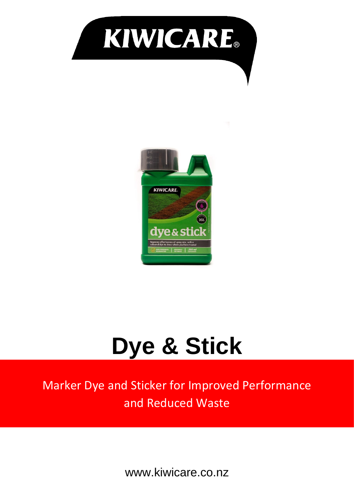



# **Dye & Stick**

Marker Dye and Sticker for Improved Performance and Reduced Waste

www.kiwicare.co.nz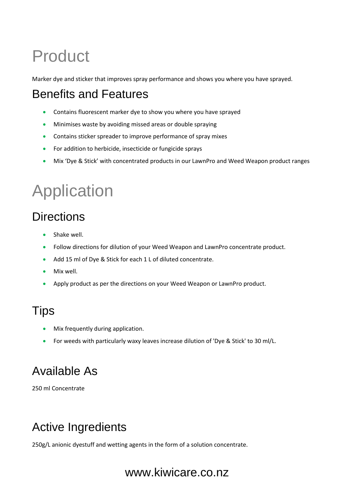### Product

Marker dye and sticker that improves spray performance and shows you where you have sprayed.

#### Benefits and Features

- Contains fluorescent marker dye to show you where you have sprayed
- Minimises waste by avoiding missed areas or double spraying
- Contains sticker spreader to improve performance of spray mixes
- For addition to herbicide, insecticide or fungicide sprays
- Mix 'Dye & Stick' with concentrated products in our LawnPro and Weed Weapon product ranges

## Application

#### **Directions**

- Shake well.
- Follow directions for dilution of your Weed Weapon and LawnPro concentrate product.
- Add 15 ml of Dye & Stick for each 1 L of diluted concentrate.
- Mix well.
- Apply product as per the directions on your Weed Weapon or LawnPro product.

#### **Tips**

- Mix frequently during application.
- For weeds with particularly waxy leaves increase dilution of 'Dye & Stick' to 30 ml/L.

#### Available As

250 ml Concentrate

#### Active Ingredients

250g/L anionic dyestuff and wetting agents in the form of a solution concentrate.

#### www.kiwicare.co.nz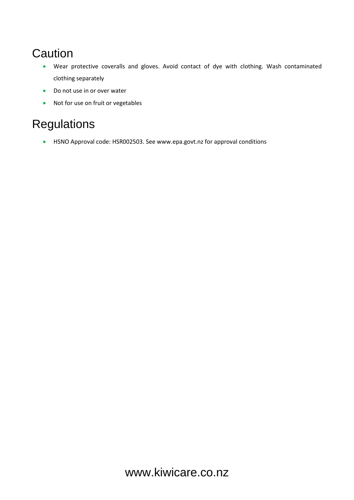#### **Caution**

- Wear protective coveralls and gloves. Avoid contact of dye with clothing. Wash contaminated clothing separately
- Do not use in or over water
- Not for use on fruit or vegetables

#### **Regulations**

• HSNO Approval code: HSR002503. See www.epa.govt.nz for approval conditions